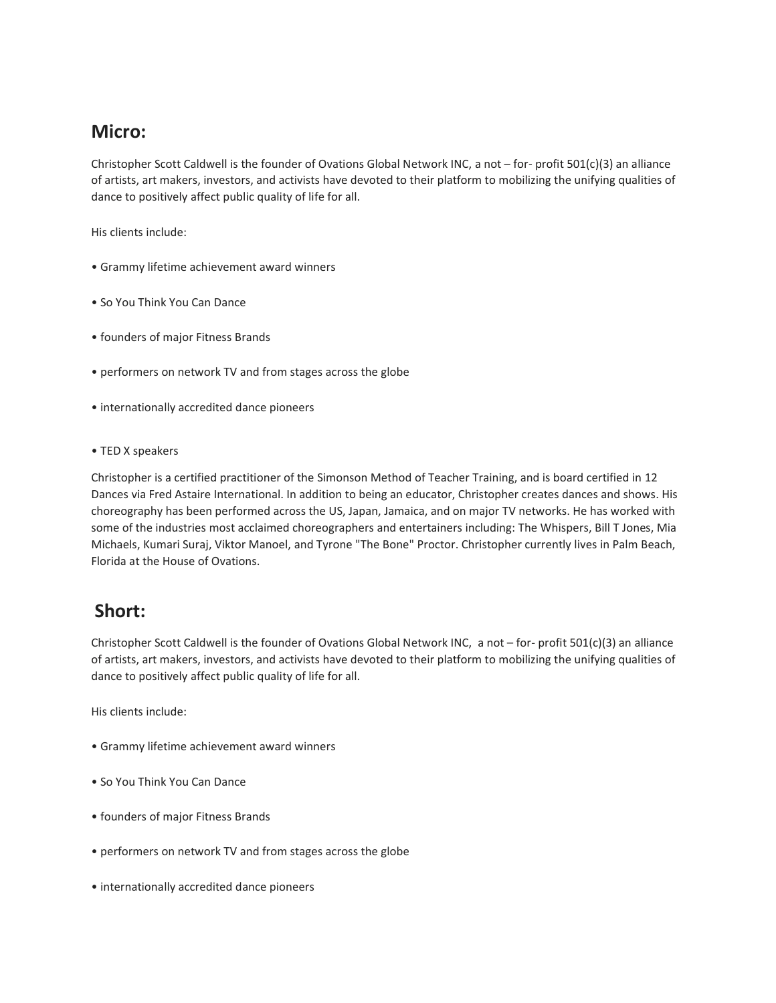# **Micro:**

Christopher Scott Caldwell is the founder of Ovations Global Network INC, a not – for- profit 501(c)(3) an alliance of artists, art makers, investors, and activists have devoted to their platform to mobilizing the unifying qualities of dance to positively affect public quality of life for all.

His clients include:

- Grammy lifetime achievement award winners
- So You Think You Can Dance
- founders of major Fitness Brands
- performers on network TV and from stages across the globe
- internationally accredited dance pioneers
- TED X speakers

Christopher is a certified practitioner of the Simonson Method of Teacher Training, and is board certified in 12 Dances via Fred Astaire International. In addition to being an educator, Christopher creates dances and shows. His choreography has been performed across the US, Japan, Jamaica, and on major TV networks. He has worked with some of the industries most acclaimed choreographers and entertainers including: The Whispers, Bill T Jones, Mia Michaels, Kumari Suraj, Viktor Manoel, and Tyrone "The Bone" Proctor. Christopher currently lives in Palm Beach, Florida at the House of Ovations.

# **Short:**

Christopher Scott Caldwell is the founder of Ovations Global Network INC, a not – for- profit 501(c)(3) an alliance of artists, art makers, investors, and activists have devoted to their platform to mobilizing the unifying qualities of dance to positively affect public quality of life for all.

His clients include:

- Grammy lifetime achievement award winners
- So You Think You Can Dance
- founders of major Fitness Brands
- performers on network TV and from stages across the globe
- internationally accredited dance pioneers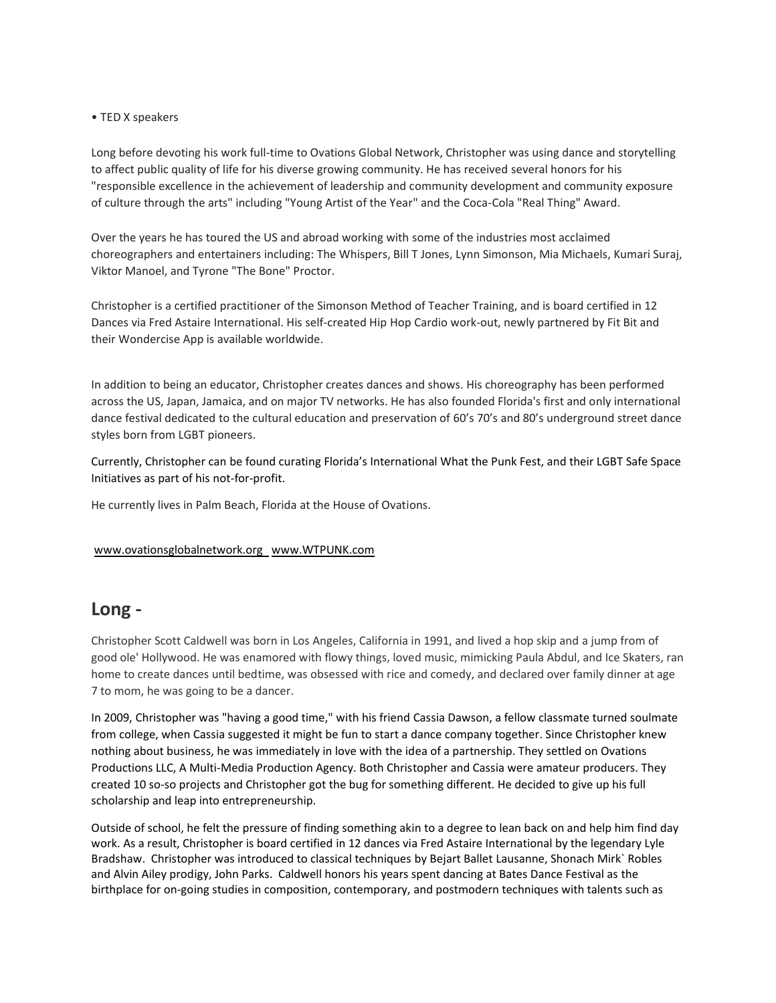### • TED X speakers

Long before devoting his work full-time to Ovations Global Network, Christopher was using dance and storytelling to affect public quality of life for his diverse growing community. He has received several honors for his "responsible excellence in the achievement of leadership and community development and community exposure of culture through the arts" including "Young Artist of the Year" and the Coca-Cola "Real Thing" Award.

Over the years he has toured the US and abroad working with some of the industries most acclaimed choreographers and entertainers including: The Whispers, Bill T Jones, Lynn Simonson, Mia Michaels, Kumari Suraj, Viktor Manoel, and Tyrone "The Bone" Proctor.

Christopher is a certified practitioner of the Simonson Method of Teacher Training, and is board certified in 12 Dances via Fred Astaire International. His self-created Hip Hop Cardio work-out, newly partnered by Fit Bit and their Wondercise App is available worldwide.

In addition to being an educator, Christopher creates dances and shows. His choreography has been performed across the US, Japan, Jamaica, and on major TV networks. He has also founded Florida's first and only international dance festival dedicated to the cultural education and preservation of 60's 70's and 80's underground street dance styles born from LGBT pioneers.

Currently, Christopher can be found curating Florida's International What the Punk Fest, and their LGBT Safe Space Initiatives as part of his not-for-profit.

He currently lives in Palm Beach, Florida at the House of Ovations.

#### [www.ovationsglobalnetwork.org](http://www.ovationsglobalnetwork.org/) [www.WTPUNK.com](http://www.wtpunk.com/)

### **Long -**

Christopher Scott Caldwell was born in Los Angeles, California in 1991, and lived a hop skip and a jump from of good ole' Hollywood. He was enamored with flowy things, loved music, mimicking Paula Abdul, and Ice Skaters, ran home to create dances until bedtime, was obsessed with rice and comedy, and declared over family dinner at age 7 to mom, he was going to be a dancer.

In 2009, Christopher was "having a good time," with his friend Cassia Dawson, a fellow classmate turned soulmate from college, when Cassia suggested it might be fun to start a dance company together. Since Christopher knew nothing about business, he was immediately in love with the idea of a partnership. They settled on Ovations Productions LLC, A Multi-Media Production Agency. Both Christopher and Cassia were amateur producers. They created 10 so-so projects and Christopher got the bug for something different. He decided to give up his full scholarship and leap into entrepreneurship.

Outside of school, he felt the pressure of finding something akin to a degree to lean back on and help him find day work. As a result, Christopher is board certified in 12 dances via Fred Astaire International by the legendary Lyle Bradshaw. Christopher was introduced to classical techniques by Bejart Ballet Lausanne, Shonach Mirk` Robles and Alvin Ailey prodigy, John Parks. Caldwell honors his years spent dancing at Bates Dance Festival as the birthplace for on-going studies in composition, contemporary, and postmodern techniques with talents such as